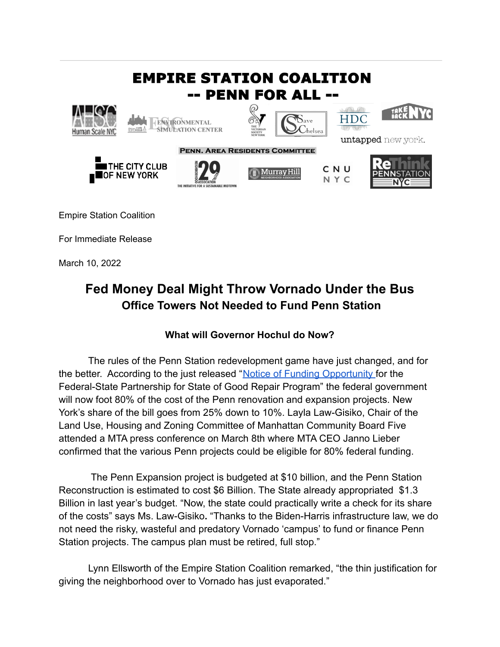

For Immediate Release

March 10, 2022

## **Fed Money Deal Might Throw Vornado Under the Bus Office Towers Not Needed to Fund Penn Station**

## **What will Governor Hochul do Now?**

The rules of the Penn Station redevelopment game have just changed, and for the better. According to the just released "Notice [of Funding Opportunity](https://www.federalregister.gov/documents/2021/12/07/2021-26457/notice-of-funding-opportunity-for-the-federal-state-partnership-for-state-of-good-repair-program) for the Federal-State Partnership for State of Good Repair Program" the federal government will now foot 80% of the cost of the Penn renovation and expansion projects. New York's share of the bill goes from 25% down to 10%. Layla Law-Gisiko, Chair of the Land Use, Housing and Zoning Committee of Manhattan Community Board Five attended a MTA press conference on March 8th where MTA CEO Janno Lieber confirmed that the various Penn projects could be eligible for 80% federal funding.

The Penn Expansion project is budgeted at \$10 billion, and the Penn Station Reconstruction is estimated to cost \$6 Billion. The State already appropriated \$1.3 Billion in last year's budget. "Now, the state could practically write a check for its share of the costs" says Ms. Law-Gisiko**.** "Thanks to the Biden-Harris infrastructure law, we do not need the risky, wasteful and predatory Vornado 'campus' to fund or finance Penn Station projects. The campus plan must be retired, full stop."

Lynn Ellsworth of the Empire Station Coalition remarked, "the thin justification for giving the neighborhood over to Vornado has just evaporated."